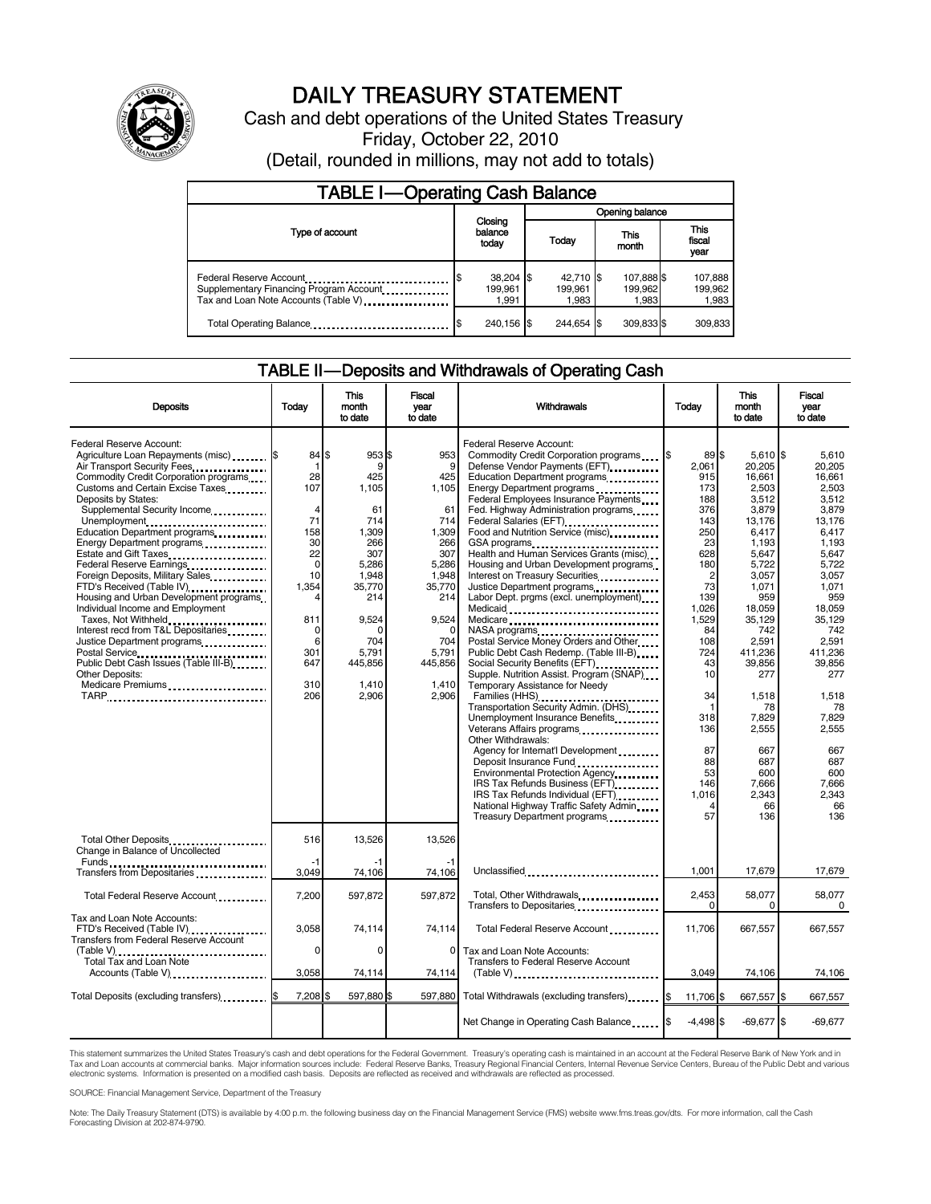

# DAILY TREASURY STATEMENT

Cash and debt operations of the United States Treasury Friday, October 22, 2010 (Detail, rounded in millions, may not add to totals)

| <b>TABLE I-Operating Cash Balance</b>                                                                      |                                 |                               |                                |                             |  |  |  |
|------------------------------------------------------------------------------------------------------------|---------------------------------|-------------------------------|--------------------------------|-----------------------------|--|--|--|
|                                                                                                            |                                 | Opening balance               |                                |                             |  |  |  |
| Type of account                                                                                            | Closing<br>balance<br>today     | Today                         | This<br>month                  | This<br>fiscal<br>year      |  |  |  |
| Federal Reserve Account<br>Supplementary Financing Program Account<br>Tax and Loan Note Accounts (Table V) | $38,204$ \$<br>199.961<br>1.991 | 42,710 \$<br>199.961<br>1.983 | 107,888 \$<br>199,962<br>1.983 | 107,888<br>199,962<br>1,983 |  |  |  |
| Total Operating Balance                                                                                    | 240.156 \$                      | 244.654 \$                    | 309,833 \$                     | 309,833                     |  |  |  |

### TABLE II — Deposits and Withdrawals of Operating Cash

| <b>Deposits</b>                                                                                                                                                                                                                                                                                                                                                                                                                                                                                                                                                                                                                                                                                       | Today                                                                                                                                               | This<br>month<br>to date                                                                                                                                                 | Fiscal<br>vear<br>to date                                                                                                                             | Withdrawals                                                                                                                                                                                                                                                                                                                                                                                                                                                                                                                                                                                                                                                                                                                                                                                                                                                                                                                                                                                                                                                                                                                                | Todav                                                                                                                                                                                                                          | This<br>month<br>to date                                                                                                                                                                                                                                                               | Fiscal<br>year<br>to date                                                                                                                                                                                                                                                        |
|-------------------------------------------------------------------------------------------------------------------------------------------------------------------------------------------------------------------------------------------------------------------------------------------------------------------------------------------------------------------------------------------------------------------------------------------------------------------------------------------------------------------------------------------------------------------------------------------------------------------------------------------------------------------------------------------------------|-----------------------------------------------------------------------------------------------------------------------------------------------------|--------------------------------------------------------------------------------------------------------------------------------------------------------------------------|-------------------------------------------------------------------------------------------------------------------------------------------------------|--------------------------------------------------------------------------------------------------------------------------------------------------------------------------------------------------------------------------------------------------------------------------------------------------------------------------------------------------------------------------------------------------------------------------------------------------------------------------------------------------------------------------------------------------------------------------------------------------------------------------------------------------------------------------------------------------------------------------------------------------------------------------------------------------------------------------------------------------------------------------------------------------------------------------------------------------------------------------------------------------------------------------------------------------------------------------------------------------------------------------------------------|--------------------------------------------------------------------------------------------------------------------------------------------------------------------------------------------------------------------------------|----------------------------------------------------------------------------------------------------------------------------------------------------------------------------------------------------------------------------------------------------------------------------------------|----------------------------------------------------------------------------------------------------------------------------------------------------------------------------------------------------------------------------------------------------------------------------------|
| Federal Reserve Account:<br>Agriculture Loan Repayments (misc) \$<br>Air Transport Security Fees<br>Commodity Credit Corporation programs<br>Customs and Certain Excise Taxes<br>Deposits by States:<br>Supplemental Security Income<br>Unemployment<br>Education Department programs<br>Energy Department programs<br>Estate and Gift Taxes<br>Federal Reserve Earnings<br>Foreign Deposits, Military Sales<br>FTD's Received (Table IV)<br>Housing and Urban Development programs<br>Individual Income and Employment<br>Taxes, Not Withheld<br>Interest recd from T&L Depositaries<br>Justice Department programs<br>Public Debt Cash Issues (Table III-B)<br>Other Deposits:<br>Medicare Premiums | 84 \$<br>-1<br>28<br>107<br>$\overline{4}$<br>71<br>158<br>30<br>22<br>$\mathbf 0$<br>10<br>1,354<br>4<br>811<br>0<br>6<br>301<br>647<br>310<br>206 | 953 \$<br>9<br>425<br>1,105<br>61<br>714<br>1,309<br>266<br>307<br>5,286<br>1.948<br>35,770<br>214<br>9,524<br><sup>0</sup><br>704<br>5.791<br>445,856<br>1.410<br>2.906 | 953<br>9<br>425<br>1,105<br>61<br>714<br>1,309<br>266<br>307<br>5,286<br>1,948<br>35,770<br>214<br>9,524<br>704<br>5,791<br>445,856<br>1,410<br>2.906 | Federal Reserve Account:<br>Defense Vendor Payments (EFT)<br>Education Department programs<br>Energy Department programs<br>Federal Employees Insurance Payments<br>Fed. Highway Administration programs<br>Federal Salaries (EFT)<br>Food and Nutrition Service (misc)<br>GSA programs<br>Health and Human Services Grants (misc)<br>Housing and Urban Development programs<br>Interest on Treasury Securities<br>Justice Department programs<br>Labor Dept. prgms (excl. unemployment)<br>Medicaid<br>Medicare<br>NASA programs<br>Postal Service Money Orders and Other<br>Public Debt Cash Redemp. (Table III-B)<br>Social Security Benefits (EFT)<br>Supple. Nutrition Assist. Program (SNAP)<br>Temporary Assistance for Needy<br>Families (HHS)<br>Transportation Security Admin. (DHS)<br>Unemployment Insurance Benefits<br>Veterans Affairs programs<br>x<br>Other Withdrawals:<br>Agency for Internat'l Development<br>Deposit Insurance Fund<br>Environmental Protection Agency<br>IRS Tax Refunds Business (EFT)<br>IRS Tax Refunds Individual (EFT)<br>National Highway Traffic Safety Admin<br>Treasury Department programs | 89 \$<br>2,061<br>915<br>173<br>188<br>376<br>143<br>250<br>23<br>628<br>180<br>$\overline{2}$<br>73<br>139<br>1,026<br>1,529<br>84<br>108<br>724<br>43<br>10<br>34<br>f<br>318<br>136<br>87<br>88<br>53<br>146<br>1,016<br>57 | $5.610$ \\$<br>20,205<br>16.661<br>2,503<br>3.512<br>3,879<br>13,176<br>6,417<br>1,193<br>5,647<br>5,722<br>3.057<br>1,071<br>959<br>18,059<br>35,129<br>742<br>2,591<br>411,236<br>39,856<br>277<br>1.518<br>78<br>7,829<br>2,555<br>667<br>687<br>600<br>7,666<br>2,343<br>66<br>136 | 5.610<br>20,205<br>16.661<br>2.503<br>3.512<br>3,879<br>13,176<br>6,417<br>1,193<br>5,647<br>5.722<br>3.057<br>1,071<br>959<br>18,059<br>35,129<br>742<br>2,591<br>411,236<br>39,856<br>277<br>1,518<br>78<br>7,829<br>2,555<br>667<br>687<br>600<br>7.666<br>2,343<br>66<br>136 |
| Total Other Deposits<br>Change in Balance of Uncollected<br>Funds                                                                                                                                                                                                                                                                                                                                                                                                                                                                                                                                                                                                                                     | 516<br>-1                                                                                                                                           | 13,526<br>-1                                                                                                                                                             | 13,526                                                                                                                                                |                                                                                                                                                                                                                                                                                                                                                                                                                                                                                                                                                                                                                                                                                                                                                                                                                                                                                                                                                                                                                                                                                                                                            |                                                                                                                                                                                                                                |                                                                                                                                                                                                                                                                                        |                                                                                                                                                                                                                                                                                  |
| Transfers from Depositaries                                                                                                                                                                                                                                                                                                                                                                                                                                                                                                                                                                                                                                                                           | 3.049                                                                                                                                               | 74,106                                                                                                                                                                   | 74,106                                                                                                                                                | Unclassified                                                                                                                                                                                                                                                                                                                                                                                                                                                                                                                                                                                                                                                                                                                                                                                                                                                                                                                                                                                                                                                                                                                               | 1,001                                                                                                                                                                                                                          | 17,679                                                                                                                                                                                                                                                                                 | 17,679                                                                                                                                                                                                                                                                           |
| Total Federal Reserve Account                                                                                                                                                                                                                                                                                                                                                                                                                                                                                                                                                                                                                                                                         | 7,200                                                                                                                                               | 597,872                                                                                                                                                                  | 597,872                                                                                                                                               | Total, Other Withdrawals<br>Transfers to Depositaries                                                                                                                                                                                                                                                                                                                                                                                                                                                                                                                                                                                                                                                                                                                                                                                                                                                                                                                                                                                                                                                                                      | 2,453<br>$\Omega$                                                                                                                                                                                                              | 58,077<br>$\Omega$                                                                                                                                                                                                                                                                     | 58,077<br>0                                                                                                                                                                                                                                                                      |
| Tax and Loan Note Accounts:<br>FTD's Received (Table IV)<br>Transfers from Federal Reserve Account<br>(Table V)<br>Total Tax and Loan Note                                                                                                                                                                                                                                                                                                                                                                                                                                                                                                                                                            | 3,058<br>0                                                                                                                                          | 74,114<br>0                                                                                                                                                              | 74,114<br>0                                                                                                                                           | Total Federal Reserve Account<br>Tax and Loan Note Accounts:                                                                                                                                                                                                                                                                                                                                                                                                                                                                                                                                                                                                                                                                                                                                                                                                                                                                                                                                                                                                                                                                               | 11,706                                                                                                                                                                                                                         | 667.557                                                                                                                                                                                                                                                                                | 667,557                                                                                                                                                                                                                                                                          |
| Accounts (Table V)                                                                                                                                                                                                                                                                                                                                                                                                                                                                                                                                                                                                                                                                                    | 3,058                                                                                                                                               | 74,114                                                                                                                                                                   | 74,114                                                                                                                                                | Transfers to Federal Reserve Account<br>$(Table V)$                                                                                                                                                                                                                                                                                                                                                                                                                                                                                                                                                                                                                                                                                                                                                                                                                                                                                                                                                                                                                                                                                        | 3,049                                                                                                                                                                                                                          | 74,106                                                                                                                                                                                                                                                                                 | 74,106                                                                                                                                                                                                                                                                           |
| Total Deposits (excluding transfers) <b>\$</b>                                                                                                                                                                                                                                                                                                                                                                                                                                                                                                                                                                                                                                                        | 7,208 \$                                                                                                                                            | 597,880 \$                                                                                                                                                               | 597.880                                                                                                                                               | Total Withdrawals (excluding transfers) [ \$                                                                                                                                                                                                                                                                                                                                                                                                                                                                                                                                                                                                                                                                                                                                                                                                                                                                                                                                                                                                                                                                                               | 11,706 \$                                                                                                                                                                                                                      | 667,557 \$                                                                                                                                                                                                                                                                             | 667,557                                                                                                                                                                                                                                                                          |
|                                                                                                                                                                                                                                                                                                                                                                                                                                                                                                                                                                                                                                                                                                       |                                                                                                                                                     |                                                                                                                                                                          |                                                                                                                                                       | Net Change in Operating Cash Balance                                                                                                                                                                                                                                                                                                                                                                                                                                                                                                                                                                                                                                                                                                                                                                                                                                                                                                                                                                                                                                                                                                       | $-4,498$ \$                                                                                                                                                                                                                    | $-69,677$ \$                                                                                                                                                                                                                                                                           | $-69,677$                                                                                                                                                                                                                                                                        |

This statement summarizes the United States Treasury's cash and debt operations for the Federal Government. Treasury's operating cash is maintained in an account at the Federal Reserve Bank of New York and in<br>Tax and Loan

SOURCE: Financial Management Service, Department of the Treasury

Note: The Daily Treasury Statement (DTS) is available by 4:00 p.m. the following business day on the Financial Management Service (FMS) website www.fms.treas.gov/dts. For more information, call the Cash Forecasting Division at 202-874-9790.